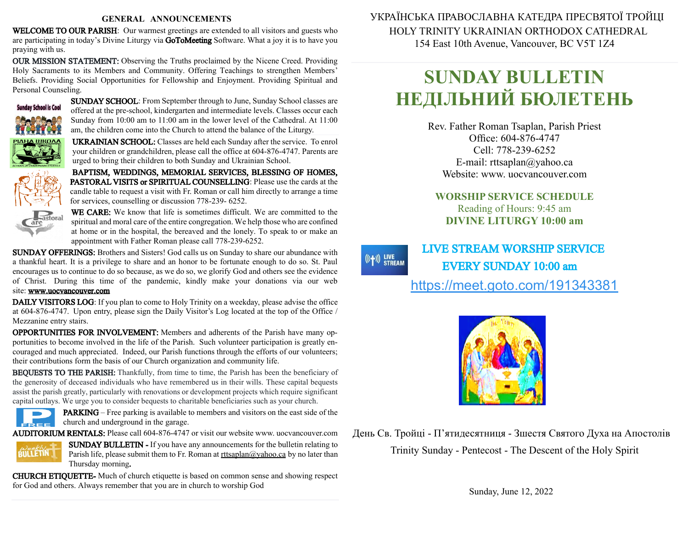#### **GENERAL ANNOUNCEMENTS**

WELCOME TO OUR PARISH: Our warmest greetings are extended to all visitors and guests who are participating in today's Divine Liturgy via GoToMeeting Software. What a joy it is to have you praying with us.

OUR MISSION STATEMENT: Observing the Truths proclaimed by the Nicene Creed. Providing Holy Sacraments to its Members and Community. Offering Teachings to strengthen Members' Beliefs. Providing Social Opportunities for Fellowship and Enjoyment. Providing Spiritual and Personal Counseling.



SUNDAY SCHOOL: From September through to June, Sunday School classes are offered at the pre-school, kindergarten and intermediate levels. Classes occur each Sunday from 10:00 am to 11:00 am in the lower level of the Cathedral. At 11:00 am, the children come into the Church to attend the balance of the Liturgy.

UKRAINIAN SCHOOL: Classes are held each Sunday after the service. To enrol your children or grandchildren, please call the office at 604-876-4747. Parents are urged to bring their children to both Sunday and Ukrainian School.

BAPTISM, WEDDINGS, MEMORIAL SERVICES, BLESSING OF HOMES, PASTORAL VISITS or SPIRITUAL COUNSELLING: Please use the cards at the candle table to request a visit with Fr. Roman or call him directly to arrange a time for services, counselling or discussion 778-239- 6252.



WE CARE: We know that life is sometimes difficult. We are committed to the spiritual and moral care of the entire congregation. We help those who are confined at home or in the hospital, the bereaved and the lonely. To speak to or make an appointment with Father Roman please call 778-239-6252.

SUNDAY OFFERINGS: Brothers and Sisters! God calls us on Sunday to share our abundance with a thankful heart. It is a privilege to share and an honor to be fortunate enough to do so. St. Paul encourages us to continue to do sobecause, as we do so, we glorify God and others see the evidence of Christ. During this time of the pandemic, kindly make your donations via our web site: [www.uocvancouver.com](http://www.uocvancouver.com/) 

DAILY VISITORS LOG: If you plan to come to Holy Trinity on a weekday, please advise the office at 604-876-4747. Upon entry, please sign the Daily Visitor's Log located at the top of the Office / Mezzanine entry stairs.

OPPORTUNITIES FOR INVOLVEMENT: Members and adherents of the Parish have many opportunities to become involved in the life of the Parish. Such volunteer participation is greatly encouraged and much appreciated. Indeed, our Parish functions through the efforts of our volunteers; their contributions form the basis of our Church organization and community life.

BEQUESTS TO THE PARISH: Thankfully, from time to time, the Parish has been the beneficiary of the generosity of deceased individuals who have remembered us in their wills. These capital bequests assist the parish greatly, particularly with renovations or development projects which require significant capital outlays. We urge you to consider bequests to charitable beneficiaries such as your church.



PARKING –Free parking is available to members and visitors on the east side of the church and underground in the garage.

AUDITORIUM RENTALS: Please call 604-876-4747 or visit our website www. uocvancouver.com



SUNDAY BULLETIN - If you have any announcements for the bulletin relating to Parish life, please submit them to Fr. Roman at  $rtt \frac{\partial y}{\partial x}$  and  $\frac{\partial y}{\partial y}$  and later than Thursday morning.

CHURCH ETIQUETTE- Much of church etiquette is based on common sense and showing respect for God and others. Always remember that you are in church to worship God

 УКРАЇНСЬКА ПРАВОСЛАВНА КАТЕДРА ПРЕСВЯТОЇ ТРОЙЦІ HOLY TRINITY UKRAINIAN ORTHODOX CATHEDRAL 154 East 10th Avenue, Vancouver, BC V5T 1Z4

# **SUNDAY BULLETIN НЕДІЛЬНИЙ БЮЛЕТЕНЬ**

Rev. Father Roman Tsaplan, Parish Priest Office: 604-876-4747 Cell: 778-239-6252 E-mail: rttsaplan@yahoo.ca Website: www. uocvancouver.com

### **WORSHIP SERVICE SCHEDULE** Reading of Hours: 9:45 am **DIVINE LITURGY 10:00 am**

 LIVE STREAM WORSHIP SERVICE EVERY SUNDAY 10:00 am <https://meet.goto.com/191343381>

 $((+))$  LIVE<br>STREAM



День Св. Тройці - П'ятидесятниця - Зшестя Святого Духа на Апостолів Trinity Sunday - Pentecost - The Descent of the Holy Spirit